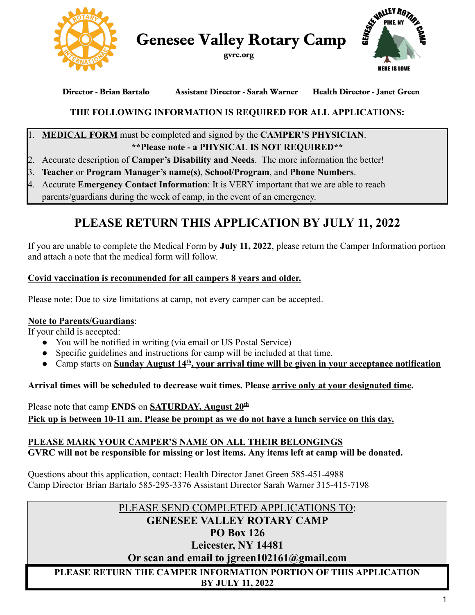

**Genesee Valley Rotary Camp** 





**Assistant Director - Sarah Warner** Director - Brian Bartalo **Health Director - Janet Green** 

## **THE FOLLOWING INFORMATION IS REQUIRED FOR ALL APPLICATIONS:**

### **MEDICAL FORM** must be completed and signed by the **CAMPER'S PHYSICIAN**.  **\*\*Please note - a PHYSICAL IS NOT REQUIRED\*\***

- 2. Accurate description of **Camper's Disability and Needs** . The more information the better!
- 3. **Teacher** or **Program Manager's name(s)** , **School/Program** , and **Phone Numbers** .
- 4. Accurate **Emergency Contact Information**: It is VERY important that we are able to reach parents/guardians during the week of camp, in the event of an emergency.

# **PLEASE RETURN THIS APPLICATION BY JULY 11, 2022**

 If you are unable to complete the Medical Form by **July 11, 2022** , please return the Camper Information portion and attach a note that the medical form will follow.

## **Covid vaccination is recommended for all campers 8 years and older.**

Please note: Due to size limitations at camp, not every camper can be accepted.

## **Note to Parents/Guardians** :

If your child is accepted:

- You will be notified in writing (via email or US Postal Service)
- Specific guidelines and instructions for camp will be included at that time.
- Camp starts on **Sunday August 14<sup>th</sup>, your arrival time will be given in your acceptance notification**

 **Arrival times will be scheduled to decrease wait times. Please arrive only at your designated time .** 

Please note that camp **ENDS** on **SATURDAY**, August  $20^{\text{th}}$  **Pick up is between 10-11 am. Please be prompt as we do not have a lunch service on this day.** 

## **PLEASE MARK YOUR CAMPER'S NAME ON ALL THEIR BELONGINGS**

 **GVRC will not be responsible for missing or lost items. Any items left at camp will be donated.** 

 Questions about this application, contact: Health Director Janet Green 585-451-4988 Camp Director Brian Bartalo 585-295-3376 Assistant Director Sarah Warner 315-415-7198

## PLEASE SEND COMPLETED APPLICATIONS TO:

## **GENESEE VALLEY ROTARY CAMP**

## **PO Box 126**

## **Leicester, NY 14481**

 **Or scan and email to jgreen102161@gmail.com** 

### **PLEASE RETURN THE CAMPER INFORMATION PORTION OF THIS APPLICATION BY JULY 11, 2022**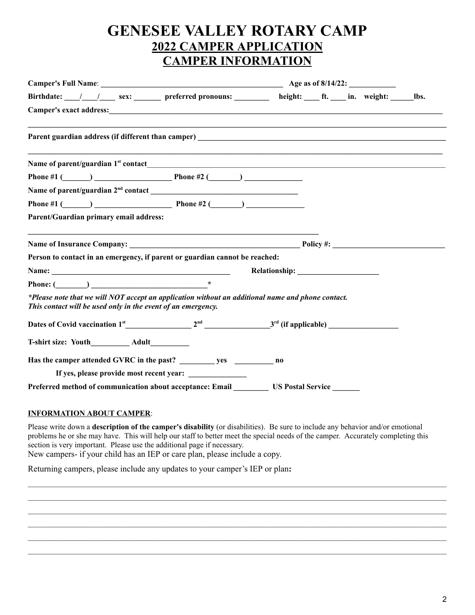## **GENESEE VALLEY ROTARY CAMP 2022 CAMPER APPLICATION CAMPER INFORMATION**

| Birthdate: /// sex: preferred pronouns: height: ft. in. weight: bs.                                                                                                                                                                  |  |                                                                                                                |  |  |  |
|--------------------------------------------------------------------------------------------------------------------------------------------------------------------------------------------------------------------------------------|--|----------------------------------------------------------------------------------------------------------------|--|--|--|
| Camper's exact address: <u>contract and contract and contract and contract and contract and contract and contract and contract and contract and contract and contract and contract and contract and contract and contract and co</u> |  |                                                                                                                |  |  |  |
|                                                                                                                                                                                                                                      |  |                                                                                                                |  |  |  |
|                                                                                                                                                                                                                                      |  |                                                                                                                |  |  |  |
| Phone #1 ( $\qquad$ ) Phone #2 ( $\qquad$ )                                                                                                                                                                                          |  |                                                                                                                |  |  |  |
|                                                                                                                                                                                                                                      |  |                                                                                                                |  |  |  |
| Phone #1 ( $\qquad$ ) Phone #2 ( $\qquad$ )                                                                                                                                                                                          |  |                                                                                                                |  |  |  |
| Parent/Guardian primary email address:                                                                                                                                                                                               |  |                                                                                                                |  |  |  |
|                                                                                                                                                                                                                                      |  |                                                                                                                |  |  |  |
| Person to contact in an emergency, if parent or guardian cannot be reached:                                                                                                                                                          |  |                                                                                                                |  |  |  |
|                                                                                                                                                                                                                                      |  | Relationship: The setting of the setting of the setting of the setting of the set of the set of the set of the |  |  |  |
| Phone: $(\_\_\_\_$                                                                                                                                                                                                                   |  |                                                                                                                |  |  |  |
| *Please note that we will NOT accept an application without an additional name and phone contact.<br>This contact will be used only in the event of an emergency.                                                                    |  |                                                                                                                |  |  |  |
|                                                                                                                                                                                                                                      |  |                                                                                                                |  |  |  |
| T-shirt size: Youth_____________ Adult__________                                                                                                                                                                                     |  |                                                                                                                |  |  |  |
|                                                                                                                                                                                                                                      |  |                                                                                                                |  |  |  |
|                                                                                                                                                                                                                                      |  |                                                                                                                |  |  |  |
|                                                                                                                                                                                                                                      |  |                                                                                                                |  |  |  |

### **INFORMATION ABOUT CAMPER** :

 Please write down a **description of the camper's disability** (or disabilities). Be sure to include any behavior and/or emotional problems he or she may have. This will help our staff to better meet the special needs of the camper. Accurately completing this section is very important. Please use the additional page if necessary.

 $\_$  , and the state of the state of the state of the state of the state of the state of the state of the state of the state of the state of the state of the state of the state of the state of the state of the state of the  $\_$  , and the state of the state of the state of the state of the state of the state of the state of the state of the state of the state of the state of the state of the state of the state of the state of the state of the  $\_$  , and the state of the state of the state of the state of the state of the state of the state of the state of the state of the state of the state of the state of the state of the state of the state of the state of the  $\_$  , and the state of the state of the state of the state of the state of the state of the state of the state of the state of the state of the state of the state of the state of the state of the state of the state of the  $\_$  , and the state of the state of the state of the state of the state of the state of the state of the state of the state of the state of the state of the state of the state of the state of the state of the state of the  $\_$  , and the state of the state of the state of the state of the state of the state of the state of the state of the state of the state of the state of the state of the state of the state of the state of the state of the

New campers- if your child has an IEP or care plan, please include a copy.

Returning campers, please include any updates to your camper's IEP or plan **:**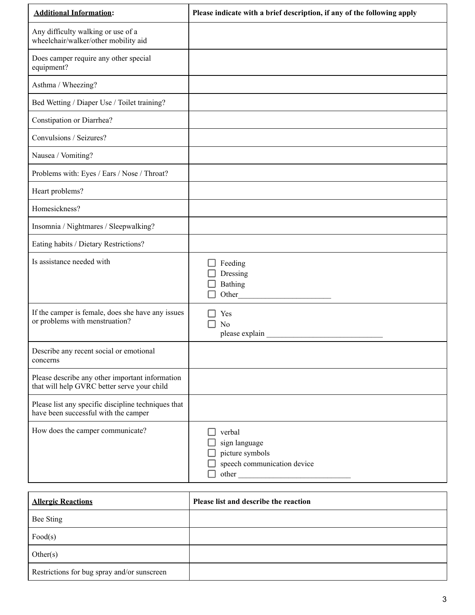| <b>Additional Information:</b>                                                                 | Please indicate with a brief description, if any of the following apply            |
|------------------------------------------------------------------------------------------------|------------------------------------------------------------------------------------|
| Any difficulty walking or use of a<br>wheelchair/walker/other mobility aid                     |                                                                                    |
| Does camper require any other special<br>equipment?                                            |                                                                                    |
| Asthma / Wheezing?                                                                             |                                                                                    |
| Bed Wetting / Diaper Use / Toilet training?                                                    |                                                                                    |
| Constipation or Diarrhea?                                                                      |                                                                                    |
| Convulsions / Seizures?                                                                        |                                                                                    |
| Nausea / Vomiting?                                                                             |                                                                                    |
| Problems with: Eyes / Ears / Nose / Throat?                                                    |                                                                                    |
| Heart problems?                                                                                |                                                                                    |
| Homesickness?                                                                                  |                                                                                    |
| Insomnia / Nightmares / Sleepwalking?                                                          |                                                                                    |
| Eating habits / Dietary Restrictions?                                                          |                                                                                    |
| Is assistance needed with                                                                      | Feeding<br>Dressing<br>Bathing<br>Other                                            |
| If the camper is female, does she have any issues<br>or problems with menstruation?            | Yes<br>N <sub>0</sub><br>please explain                                            |
| Describe any recent social or emotional<br>concerns                                            |                                                                                    |
| Please describe any other important information<br>that will help GVRC better serve your child |                                                                                    |
| Please list any specific discipline techniques that<br>have been successful with the camper    |                                                                                    |
| How does the camper communicate?                                                               | verbal<br>sign language<br>picture symbols<br>speech communication device<br>other |

| <b>Allergic Reactions</b>                   | Please list and describe the reaction |
|---------------------------------------------|---------------------------------------|
| Bee Sting                                   |                                       |
| Food(s)                                     |                                       |
| Other(s)                                    |                                       |
| Restrictions for bug spray and/or sunscreen |                                       |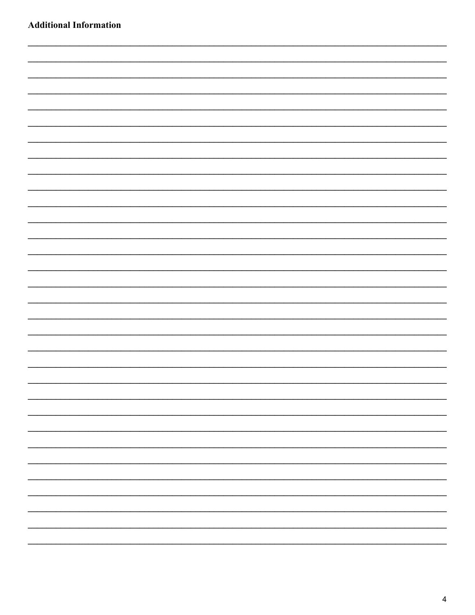| <b>Additional Information</b> |  |  |  |
|-------------------------------|--|--|--|
|                               |  |  |  |
|                               |  |  |  |
|                               |  |  |  |
|                               |  |  |  |
|                               |  |  |  |
|                               |  |  |  |
|                               |  |  |  |
|                               |  |  |  |
|                               |  |  |  |
|                               |  |  |  |
|                               |  |  |  |
|                               |  |  |  |
|                               |  |  |  |
|                               |  |  |  |
|                               |  |  |  |
|                               |  |  |  |
|                               |  |  |  |
|                               |  |  |  |
|                               |  |  |  |
|                               |  |  |  |
|                               |  |  |  |
|                               |  |  |  |
|                               |  |  |  |
|                               |  |  |  |
|                               |  |  |  |
|                               |  |  |  |
|                               |  |  |  |
|                               |  |  |  |
|                               |  |  |  |
|                               |  |  |  |
|                               |  |  |  |